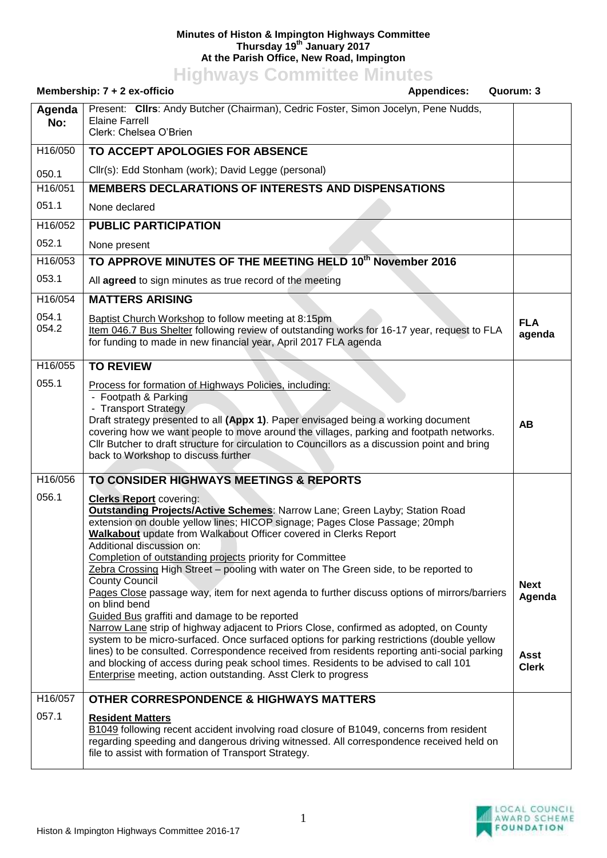## **Minutes of Histon & Impington Highways Committee Thursday 19th January 2017 At the Parish Office, New Road, Impington**

**Highways Committee Minutes**

|                      | Membership: 7 + 2 ex-officio<br><b>Appendices:</b>                                                                                                                                                                                                                                                                                                                                                                                                                                                                                                                                                                                                                                                                                                                                                                                                                                                                                                                                                                                                                                                            | Quorum: 3                                            |
|----------------------|---------------------------------------------------------------------------------------------------------------------------------------------------------------------------------------------------------------------------------------------------------------------------------------------------------------------------------------------------------------------------------------------------------------------------------------------------------------------------------------------------------------------------------------------------------------------------------------------------------------------------------------------------------------------------------------------------------------------------------------------------------------------------------------------------------------------------------------------------------------------------------------------------------------------------------------------------------------------------------------------------------------------------------------------------------------------------------------------------------------|------------------------------------------------------|
| Agenda<br>No:        | Present: Clirs: Andy Butcher (Chairman), Cedric Foster, Simon Jocelyn, Pene Nudds,<br><b>Elaine Farrell</b><br>Clerk: Chelsea O'Brien                                                                                                                                                                                                                                                                                                                                                                                                                                                                                                                                                                                                                                                                                                                                                                                                                                                                                                                                                                         |                                                      |
| H16/050              | TO ACCEPT APOLOGIES FOR ABSENCE                                                                                                                                                                                                                                                                                                                                                                                                                                                                                                                                                                                                                                                                                                                                                                                                                                                                                                                                                                                                                                                                               |                                                      |
| 050.1                | Cllr(s): Edd Stonham (work); David Legge (personal)                                                                                                                                                                                                                                                                                                                                                                                                                                                                                                                                                                                                                                                                                                                                                                                                                                                                                                                                                                                                                                                           |                                                      |
| H <sub>16</sub> /051 | <b>MEMBERS DECLARATIONS OF INTERESTS AND DISPENSATIONS</b>                                                                                                                                                                                                                                                                                                                                                                                                                                                                                                                                                                                                                                                                                                                                                                                                                                                                                                                                                                                                                                                    |                                                      |
| 051.1                | None declared                                                                                                                                                                                                                                                                                                                                                                                                                                                                                                                                                                                                                                                                                                                                                                                                                                                                                                                                                                                                                                                                                                 |                                                      |
| H16/052              | <b>PUBLIC PARTICIPATION</b>                                                                                                                                                                                                                                                                                                                                                                                                                                                                                                                                                                                                                                                                                                                                                                                                                                                                                                                                                                                                                                                                                   |                                                      |
| 052.1                | None present                                                                                                                                                                                                                                                                                                                                                                                                                                                                                                                                                                                                                                                                                                                                                                                                                                                                                                                                                                                                                                                                                                  |                                                      |
| H16/053              | TO APPROVE MINUTES OF THE MEETING HELD 10th November 2016                                                                                                                                                                                                                                                                                                                                                                                                                                                                                                                                                                                                                                                                                                                                                                                                                                                                                                                                                                                                                                                     |                                                      |
| 053.1                | All agreed to sign minutes as true record of the meeting                                                                                                                                                                                                                                                                                                                                                                                                                                                                                                                                                                                                                                                                                                                                                                                                                                                                                                                                                                                                                                                      |                                                      |
| H16/054              | <b>MATTERS ARISING</b>                                                                                                                                                                                                                                                                                                                                                                                                                                                                                                                                                                                                                                                                                                                                                                                                                                                                                                                                                                                                                                                                                        |                                                      |
| 054.1<br>054.2       | Baptist Church Workshop to follow meeting at 8:15pm<br>Item 046.7 Bus Shelter following review of outstanding works for 16-17 year, request to FLA<br>for funding to made in new financial year, April 2017 FLA agenda                                                                                                                                                                                                                                                                                                                                                                                                                                                                                                                                                                                                                                                                                                                                                                                                                                                                                        | <b>FLA</b><br>agenda                                 |
| H16/055              | <b>TO REVIEW</b>                                                                                                                                                                                                                                                                                                                                                                                                                                                                                                                                                                                                                                                                                                                                                                                                                                                                                                                                                                                                                                                                                              |                                                      |
| 055.1                | Process for formation of Highways Policies, including:<br>- Footpath & Parking<br>- Transport Strategy<br>Draft strategy presented to all (Appx 1). Paper envisaged being a working document<br>covering how we want people to move around the villages, parking and footpath networks.<br>CIIr Butcher to draft structure for circulation to Councillors as a discussion point and bring<br>back to Workshop to discuss further                                                                                                                                                                                                                                                                                                                                                                                                                                                                                                                                                                                                                                                                              | AB                                                   |
| H16/056              | TO CONSIDER HIGHWAYS MEETINGS & REPORTS                                                                                                                                                                                                                                                                                                                                                                                                                                                                                                                                                                                                                                                                                                                                                                                                                                                                                                                                                                                                                                                                       |                                                      |
| 056.1                | <b>Clerks Report covering:</b><br><b>Outstanding Projects/Active Schemes: Narrow Lane; Green Layby; Station Road</b><br>extension on double yellow lines; HICOP signage; Pages Close Passage; 20mph<br>Walkabout update from Walkabout Officer covered in Clerks Report<br>Additional discussion on:<br>Completion of outstanding projects priority for Committee<br>Zebra Crossing High Street - pooling with water on The Green side, to be reported to<br><b>County Council</b><br>Pages Close passage way, item for next agenda to further discuss options of mirrors/barriers<br>on blind bend<br>Guided Bus graffiti and damage to be reported<br>Narrow Lane strip of highway adjacent to Priors Close, confirmed as adopted, on County<br>system to be micro-surfaced. Once surfaced options for parking restrictions (double yellow<br>lines) to be consulted. Correspondence received from residents reporting anti-social parking<br>and blocking of access during peak school times. Residents to be advised to call 101<br><b>Enterprise meeting, action outstanding. Asst Clerk to progress</b> | <b>Next</b><br>Agenda<br><b>Asst</b><br><b>Clerk</b> |
| H16/057              | <b>OTHER CORRESPONDENCE &amp; HIGHWAYS MATTERS</b>                                                                                                                                                                                                                                                                                                                                                                                                                                                                                                                                                                                                                                                                                                                                                                                                                                                                                                                                                                                                                                                            |                                                      |
| 057.1                | <b>Resident Matters</b><br>B1049 following recent accident involving road closure of B1049, concerns from resident<br>regarding speeding and dangerous driving witnessed. All correspondence received held on<br>file to assist with formation of Transport Strategy.                                                                                                                                                                                                                                                                                                                                                                                                                                                                                                                                                                                                                                                                                                                                                                                                                                         |                                                      |